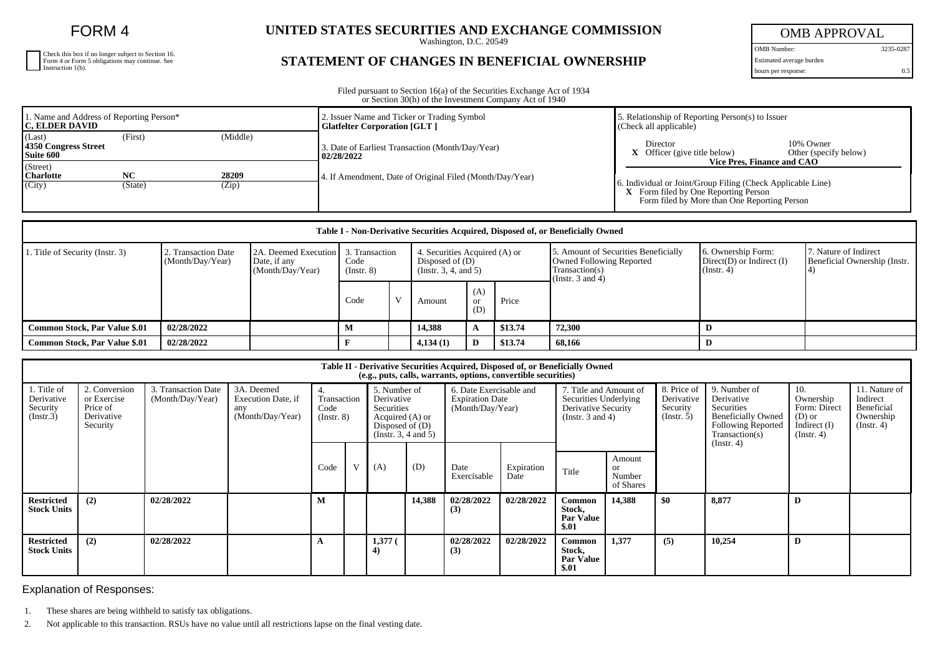FORM 4

| Check this box if no longer subject to Section 16.                     |
|------------------------------------------------------------------------|
| Form 4 or Form 5 obligations may continue. See<br>Instruction $1(b)$ . |
|                                                                        |

## **UNITED STATES SECURITIES AND EXCHANGE COMMISSION**

Washington, D.C. 20549

## **STATEMENT OF CHANGES IN BENEFICIAL OWNERSHIP**

OMB APPROVAL

OMB Number: 3235-0287 Estimated average burden hours per response: 0.5

Filed pursuant to Section 16(a) of the Securities Exchange Act of 1934 or Section 30(h) of the Investment Company Act of 1940

| 1. Name and Address of Reporting Person*<br><b>IC. ELDER DAVID</b> |               |                | 2. Issuer Name and Ticker or Trading Symbol<br><b>Glatfelter Corporation [GLT ]</b> | 5. Relationship of Reporting Person(s) to Issuer<br>$(C \nle c k \nle \nle c k)$          |  |  |  |
|--------------------------------------------------------------------|---------------|----------------|-------------------------------------------------------------------------------------|-------------------------------------------------------------------------------------------|--|--|--|
| (Middle)<br>(Last)<br>(First)<br>4350 Congress Street<br>Suite 600 |               |                | 3. Date of Earliest Transaction (Month/Day/Year)<br>02/28/2022                      | 10% Owner<br>Director<br>$X$ Officer (give title below)<br>Other (specify below)          |  |  |  |
| (Street)<br><b>Charlotte</b><br>(City)                             | NC<br>(State) | 28209<br>(Zip) | 4. If Amendment, Date of Original Filed (Month/Day/Year)                            | Vice Pres. Finance and CAO<br>6. Individual or Joint/Group Filing (Check Applicable Line) |  |  |  |
|                                                                    |               |                |                                                                                     | X Form filed by One Reporting Person<br>Form filed by More than One Reporting Person      |  |  |  |

| Table I - Non-Derivative Securities Acquired, Disposed of, or Beneficially Owned |                                         |                                                          |                     |                |          |                                                                            |         |                                                                                                             |                                                                   |                                                       |  |  |
|----------------------------------------------------------------------------------|-----------------------------------------|----------------------------------------------------------|---------------------|----------------|----------|----------------------------------------------------------------------------|---------|-------------------------------------------------------------------------------------------------------------|-------------------------------------------------------------------|-------------------------------------------------------|--|--|
| . Title of Security (Instr. 3)                                                   | 2. Transaction Date<br>(Month/Day/Year) | 2A. Deemed Execution<br>Date, if any<br>(Month/Day/Year) | Code<br>(Insert. 8) | 3. Transaction |          | 4. Securities Acquired (A) or<br>Disposed of $(D)$<br>(Instr. 3, 4, and 5) |         | 5. Amount of Securities Beneficially<br>Owned Following Reported<br>Transaction(s)<br>(Instr. $3$ and $4$ ) | 6. Ownership Form:<br>$Direct(D)$ or Indirect $(I)$<br>(Instr. 4) | 7. Nature of Indirect<br>Beneficial Ownership (Instr. |  |  |
|                                                                                  |                                         |                                                          | Code                |                | Amount   | (A)<br>or<br>(D)                                                           | Price   |                                                                                                             |                                                                   |                                                       |  |  |
| <b>Common Stock, Par Value \$.01</b>                                             | 02/28/2022                              |                                                          | М                   |                | 14.388   | A                                                                          | \$13.74 | 72.300                                                                                                      | D                                                                 |                                                       |  |  |
| <b>Common Stock, Par Value \$.01</b>                                             | 02/28/2022                              |                                                          |                     |                | 4,134(1) | D                                                                          | \$13.74 | 68,166                                                                                                      |                                                                   |                                                       |  |  |

| Table II - Derivative Securities Acquired, Disposed of, or Beneficially Owned<br>(e.g., puts, calls, warrants, options, convertible securities) |                                                                    |                                         |                                                             |                                         |   |                                                                                                          |        |                                                                       |                    |                                                                                                 |                                            |                                                      |                                                                                                                      |                                                                                    |                                                                          |
|-------------------------------------------------------------------------------------------------------------------------------------------------|--------------------------------------------------------------------|-----------------------------------------|-------------------------------------------------------------|-----------------------------------------|---|----------------------------------------------------------------------------------------------------------|--------|-----------------------------------------------------------------------|--------------------|-------------------------------------------------------------------------------------------------|--------------------------------------------|------------------------------------------------------|----------------------------------------------------------------------------------------------------------------------|------------------------------------------------------------------------------------|--------------------------------------------------------------------------|
| 1. Title of<br>Derivative<br>Security<br>(Insert.3)                                                                                             | 2. Conversion<br>or Exercise<br>Price of<br>Derivative<br>Security | 3. Transaction Date<br>(Month/Day/Year) | 3A. Deemed<br>Execution Date, if<br>any<br>(Month/Day/Year) | 4.<br>Transaction<br>Code<br>(Insert 8) |   | 5. Number of<br>Derivative<br>Securities<br>Acquired (A) or<br>Disposed of $(D)$<br>(Insert. 3, 4 and 5) |        | 6. Date Exercisable and<br><b>Expiration Date</b><br>(Month/Day/Year) |                    | 7. Title and Amount of<br>Securities Underlying<br>Derivative Security<br>(Instr. $3$ and $4$ ) |                                            | 8. Price of<br>Derivative<br>Security<br>(Insert. 5) | 9. Number of<br>Derivative<br>Securities<br><b>Beneficially Owned</b><br><b>Following Reported</b><br>Transaction(s) | 10.<br>Ownership<br>Form: Direct<br>$(D)$ or<br>Indirect $(I)$<br>$($ Instr. 4 $)$ | 11. Nature of<br>Indirect<br>Beneficial<br>Ownership<br>$($ Instr. 4 $)$ |
|                                                                                                                                                 |                                                                    |                                         |                                                             | Code                                    | V | (A)                                                                                                      | (D)    | Date<br>Exercisable                                                   | Expiration<br>Date | Title                                                                                           | Amount<br><b>or</b><br>Number<br>of Shares |                                                      | (Instr. 4)                                                                                                           |                                                                                    |                                                                          |
| <b>Restricted</b><br><b>Stock Units</b>                                                                                                         | (2)                                                                | 02/28/2022                              |                                                             |                                         |   |                                                                                                          | 14,388 | 02/28/2022<br>(3)                                                     | 02/28/2022         | Common<br>Stock,<br><b>Par Value</b><br>\$.01                                                   | 14,388                                     | \$0                                                  | 8.877                                                                                                                | D                                                                                  |                                                                          |
| <b>Restricted</b><br><b>Stock Units</b>                                                                                                         | (2)                                                                | 02/28/2022                              |                                                             |                                         |   | $1,377$ (                                                                                                |        | 02/28/2022<br>(3)                                                     | 02/28/2022         | Common<br>Stock,<br><b>Par Value</b><br>\$.01                                                   | 1,377                                      | (5)                                                  | 10,254                                                                                                               | D                                                                                  |                                                                          |

Explanation of Responses:

1. These shares are being withheld to satisfy tax obligations.

2. Not applicable to this transaction. RSUs have no value until all restrictions lapse on the final vesting date.